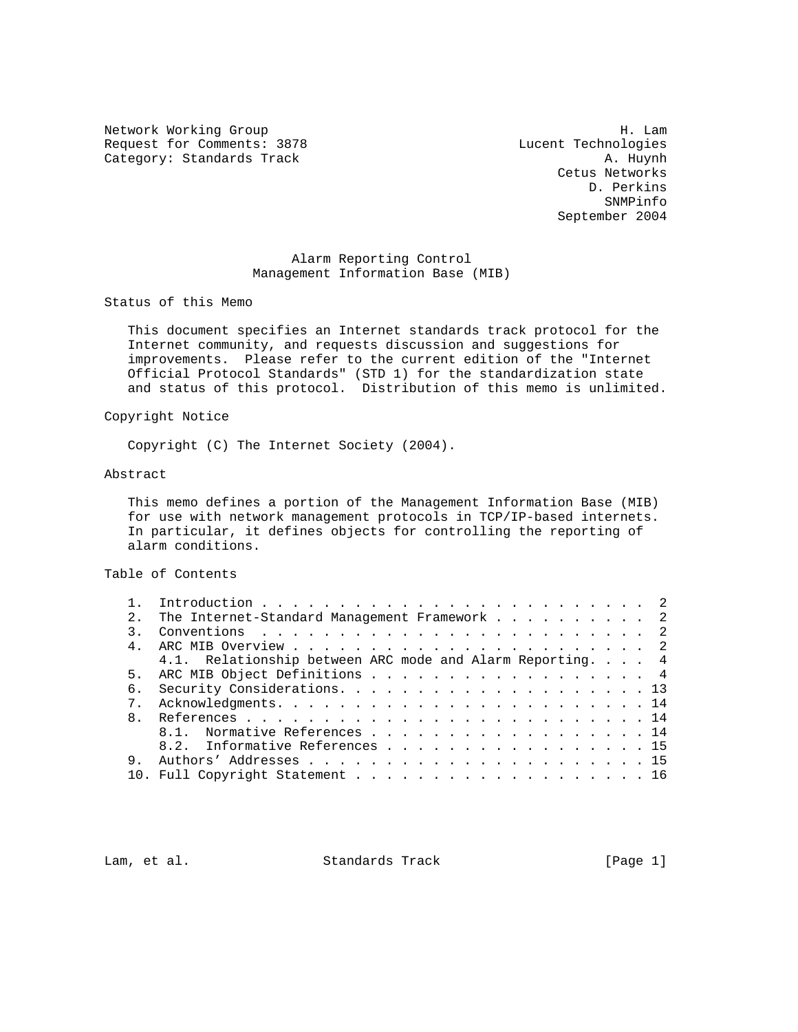Network Working Group 1986 and the United States of the United States of the United States of the United States Request for Comments: 3878 Lucent Technologies<br>
Category: Standards Track (A. Huynh Category: Standards Track

 Cetus Networks D. Perkins SNMPinfo September 2004

# Alarm Reporting Control Management Information Base (MIB)

Status of this Memo

 This document specifies an Internet standards track protocol for the Internet community, and requests discussion and suggestions for improvements. Please refer to the current edition of the "Internet Official Protocol Standards" (STD 1) for the standardization state and status of this protocol. Distribution of this memo is unlimited.

Copyright Notice

Copyright (C) The Internet Society (2004).

### Abstract

 This memo defines a portion of the Management Information Base (MIB) for use with network management protocols in TCP/IP-based internets. In particular, it defines objects for controlling the reporting of alarm conditions.

## Table of Contents

| 2.             | The Internet-Standard Management Framework 2              |
|----------------|-----------------------------------------------------------|
|                |                                                           |
| 4 <sub>1</sub> |                                                           |
|                | 4.1. Relationship between ARC mode and Alarm Reporting. 4 |
| 5 <sub>1</sub> | ARC MIB Object Definitions 4                              |
| б.             |                                                           |
| 7 <sub>1</sub> |                                                           |
| $\mathsf{R}$   |                                                           |
|                | 8.1. Normative References 14                              |
|                | 8.2. Informative References 15                            |
| 9.             |                                                           |
|                | 10. Full Copyright Statement 16                           |
|                |                                                           |

Lam, et al. Standards Track [Page 1]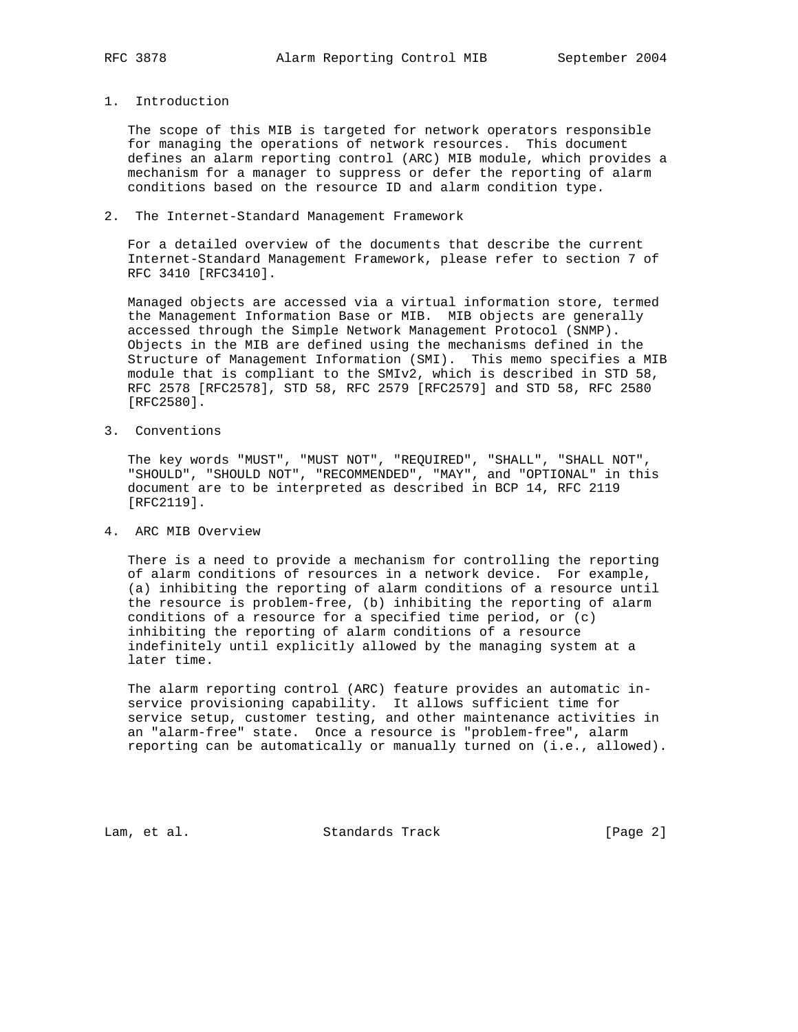# 1. Introduction

 The scope of this MIB is targeted for network operators responsible for managing the operations of network resources. This document defines an alarm reporting control (ARC) MIB module, which provides a mechanism for a manager to suppress or defer the reporting of alarm conditions based on the resource ID and alarm condition type.

### 2. The Internet-Standard Management Framework

 For a detailed overview of the documents that describe the current Internet-Standard Management Framework, please refer to section 7 of RFC 3410 [RFC3410].

 Managed objects are accessed via a virtual information store, termed the Management Information Base or MIB. MIB objects are generally accessed through the Simple Network Management Protocol (SNMP). Objects in the MIB are defined using the mechanisms defined in the Structure of Management Information (SMI). This memo specifies a MIB module that is compliant to the SMIv2, which is described in STD 58, RFC 2578 [RFC2578], STD 58, RFC 2579 [RFC2579] and STD 58, RFC 2580 [RFC2580].

3. Conventions

 The key words "MUST", "MUST NOT", "REQUIRED", "SHALL", "SHALL NOT", "SHOULD", "SHOULD NOT", "RECOMMENDED", "MAY", and "OPTIONAL" in this document are to be interpreted as described in BCP 14, RFC 2119 [RFC2119].

4. ARC MIB Overview

 There is a need to provide a mechanism for controlling the reporting of alarm conditions of resources in a network device. For example, (a) inhibiting the reporting of alarm conditions of a resource until the resource is problem-free, (b) inhibiting the reporting of alarm conditions of a resource for a specified time period, or (c) inhibiting the reporting of alarm conditions of a resource indefinitely until explicitly allowed by the managing system at a later time.

 The alarm reporting control (ARC) feature provides an automatic in service provisioning capability. It allows sufficient time for service setup, customer testing, and other maintenance activities in an "alarm-free" state. Once a resource is "problem-free", alarm reporting can be automatically or manually turned on (i.e., allowed).

Lam, et al. Standards Track [Page 2]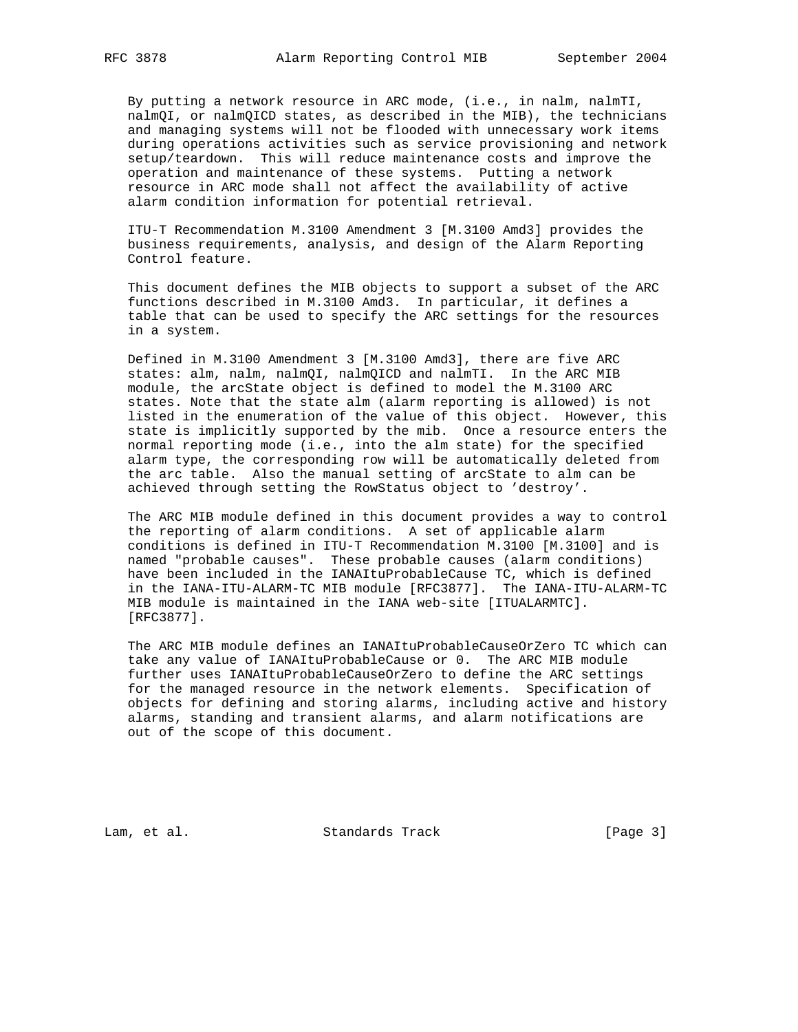By putting a network resource in ARC mode, (i.e., in nalm, nalmTI, nalmQI, or nalmQICD states, as described in the MIB), the technicians and managing systems will not be flooded with unnecessary work items during operations activities such as service provisioning and network setup/teardown. This will reduce maintenance costs and improve the operation and maintenance of these systems. Putting a network resource in ARC mode shall not affect the availability of active alarm condition information for potential retrieval.

 ITU-T Recommendation M.3100 Amendment 3 [M.3100 Amd3] provides the business requirements, analysis, and design of the Alarm Reporting Control feature.

 This document defines the MIB objects to support a subset of the ARC functions described in M.3100 Amd3. In particular, it defines a table that can be used to specify the ARC settings for the resources in a system.

 Defined in M.3100 Amendment 3 [M.3100 Amd3], there are five ARC states: alm, nalm, nalmQI, nalmQICD and nalmTI. In the ARC MIB module, the arcState object is defined to model the M.3100 ARC states. Note that the state alm (alarm reporting is allowed) is not listed in the enumeration of the value of this object. However, this state is implicitly supported by the mib. Once a resource enters the normal reporting mode (i.e., into the alm state) for the specified alarm type, the corresponding row will be automatically deleted from the arc table. Also the manual setting of arcState to alm can be achieved through setting the RowStatus object to 'destroy'.

 The ARC MIB module defined in this document provides a way to control the reporting of alarm conditions. A set of applicable alarm conditions is defined in ITU-T Recommendation M.3100 [M.3100] and is named "probable causes". These probable causes (alarm conditions) have been included in the IANAItuProbableCause TC, which is defined in the IANA-ITU-ALARM-TC MIB module [RFC3877]. The IANA-ITU-ALARM-TC MIB module is maintained in the IANA web-site [ITUALARMTC]. [RFC3877].

 The ARC MIB module defines an IANAItuProbableCauseOrZero TC which can take any value of IANAItuProbableCause or 0. The ARC MIB module further uses IANAItuProbableCauseOrZero to define the ARC settings for the managed resource in the network elements. Specification of objects for defining and storing alarms, including active and history alarms, standing and transient alarms, and alarm notifications are out of the scope of this document.

Lam, et al. Standards Track [Page 3]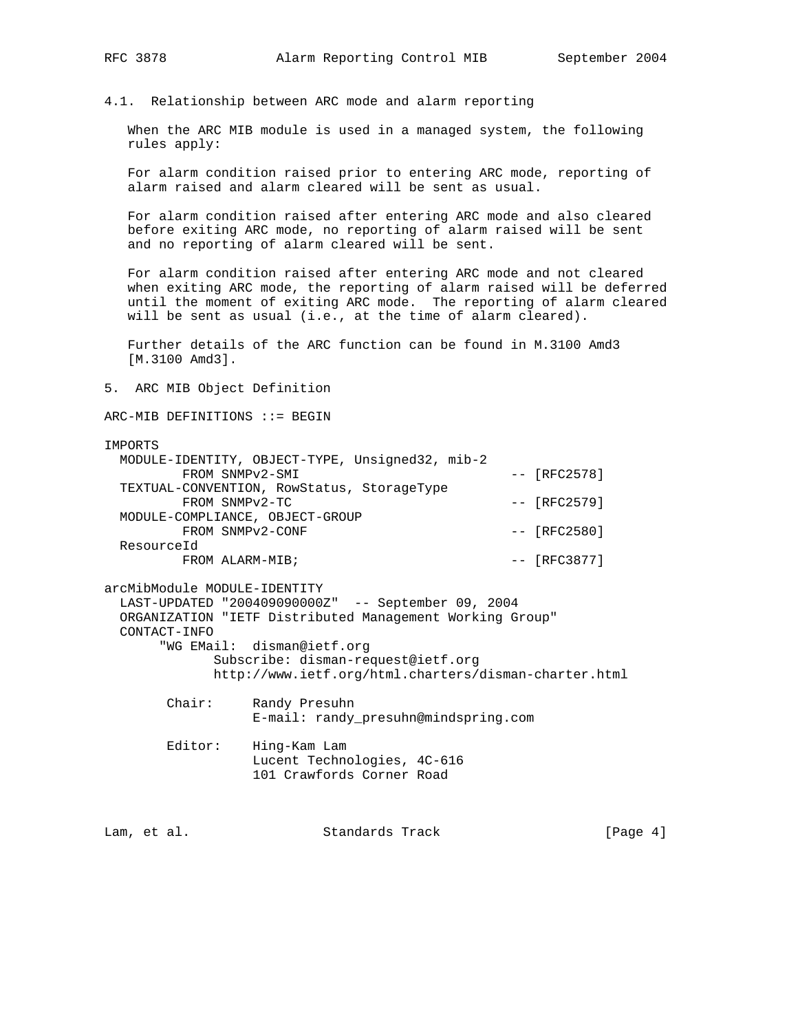4.1. Relationship between ARC mode and alarm reporting

 When the ARC MIB module is used in a managed system, the following rules apply:

 For alarm condition raised prior to entering ARC mode, reporting of alarm raised and alarm cleared will be sent as usual.

 For alarm condition raised after entering ARC mode and also cleared before exiting ARC mode, no reporting of alarm raised will be sent and no reporting of alarm cleared will be sent.

 For alarm condition raised after entering ARC mode and not cleared when exiting ARC mode, the reporting of alarm raised will be deferred until the moment of exiting ARC mode. The reporting of alarm cleared will be sent as usual (i.e., at the time of alarm cleared).

 Further details of the ARC function can be found in M.3100 Amd3 [M.3100 Amd3].

5. ARC MIB Object Definition

 $ARC-MIB$  DEFINITIONS ::= BEGIN

### IMPORTS

| MODULE-IDENTITY, OBJECT-TYPE, Unsigned32, mib-2 |                |
|-------------------------------------------------|----------------|
| FROM SNMPv2-SMI                                 | $-- [RFC2578]$ |
| TEXTUAL-CONVENTION, RowStatus, StorageType      |                |
| FROM SNMPv2-TC                                  | $-- [RFC2579]$ |
| MODULE-COMPLIANCE, OBJECT-GROUP                 |                |
| FROM SNMPv2-CONF                                | $-- [RFC2580]$ |
| ResourceId                                      |                |
| FROM ALARM-MIB;                                 | $-- [RFC3877]$ |
|                                                 |                |

arcMibModule MODULE-IDENTITY LAST-UPDATED "200409090000Z" -- September 09, 2004 ORGANIZATION "IETF Distributed Management Working Group" CONTACT-INFO "WG EMail: disman@ietf.org Subscribe: disman-request@ietf.org http://www.ietf.org/html.charters/disman-charter.html

> Chair: Randy Presuhn E-mail: randy\_presuhn@mindspring.com

 Editor: Hing-Kam Lam Lucent Technologies, 4C-616 101 Crawfords Corner Road

Lam, et al. Standards Track [Page 4]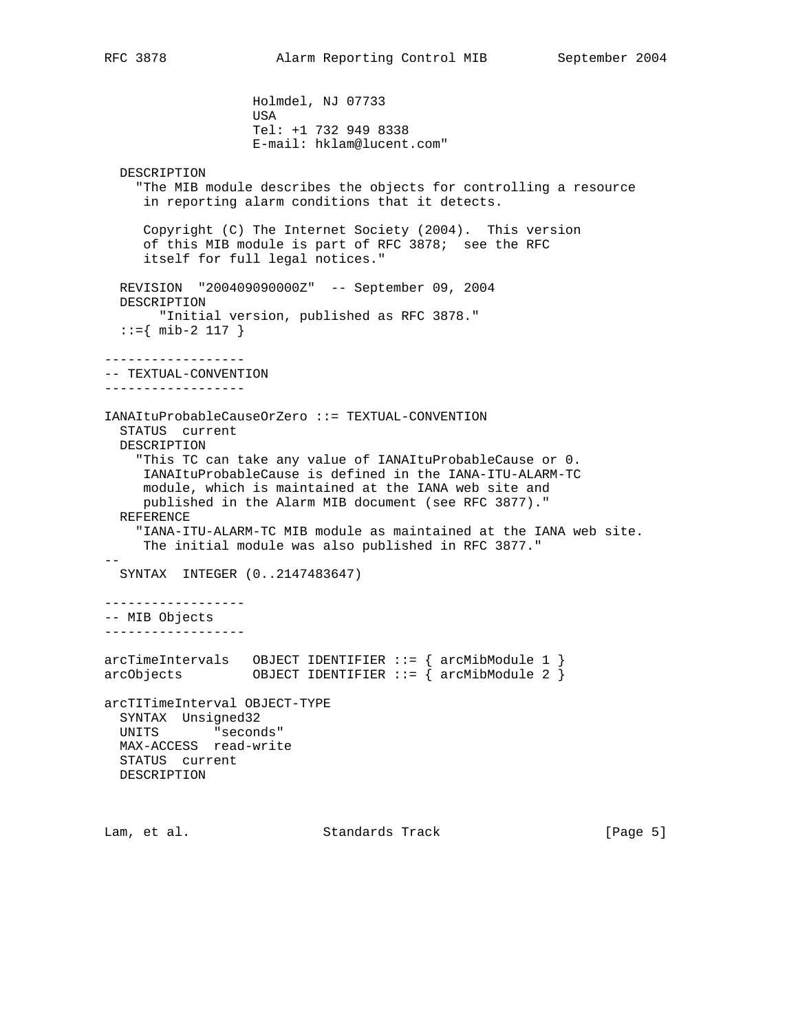Holmdel, NJ 07733 USA Tel: +1 732 949 8338 E-mail: hklam@lucent.com" DESCRIPTION "The MIB module describes the objects for controlling a resource in reporting alarm conditions that it detects. Copyright (C) The Internet Society (2004). This version of this MIB module is part of RFC 3878; see the RFC itself for full legal notices." REVISION "200409090000Z" -- September 09, 2004 DESCRIPTION "Initial version, published as RFC 3878."  $::=\{ \text{mib-2 117 } \}$ ------------------ -- TEXTUAL-CONVENTION ------------------ IANAItuProbableCauseOrZero ::= TEXTUAL-CONVENTION STATUS current DESCRIPTION "This TC can take any value of IANAItuProbableCause or 0. IANAItuProbableCause is defined in the IANA-ITU-ALARM-TC module, which is maintained at the IANA web site and published in the Alarm MIB document (see RFC 3877)." REFERENCE "IANA-ITU-ALARM-TC MIB module as maintained at the IANA web site. The initial module was also published in RFC 3877." -- SYNTAX INTEGER (0..2147483647) ------------------ -- MIB Objects ----------------- arcTimeIntervals OBJECT IDENTIFIER ::= { arcMibModule 1 } arcObjects OBJECT IDENTIFIER ::= { arcMibModule 2 } arcTITimeInterval OBJECT-TYPE SYNTAX Unsigned32 UNITS "seconds" MAX-ACCESS read-write STATUS current DESCRIPTION

Lam, et al. Standards Track [Page 5]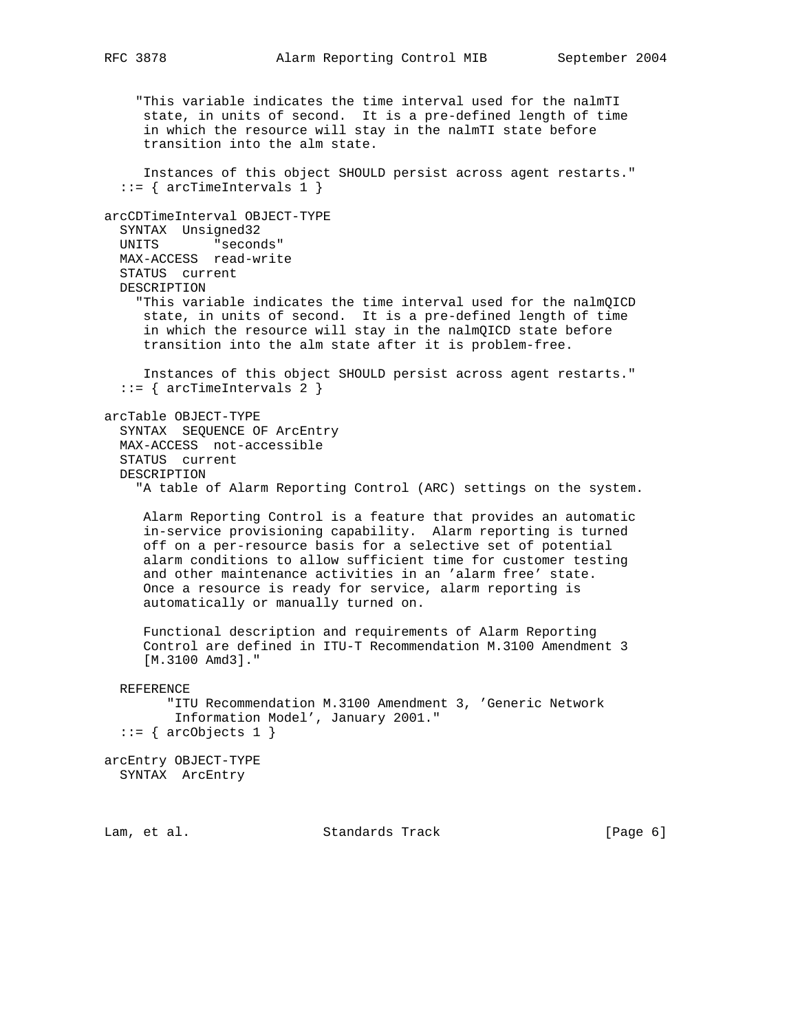"This variable indicates the time interval used for the nalmTI state, in units of second. It is a pre-defined length of time in which the resource will stay in the nalmTI state before transition into the alm state. Instances of this object SHOULD persist across agent restarts."  $::=$  { arcTimeIntervals 1 } arcCDTimeInterval OBJECT-TYPE SYNTAX Unsigned32 UNITS "seconds" MAX-ACCESS read-write STATUS current DESCRIPTION "This variable indicates the time interval used for the nalmQICD state, in units of second. It is a pre-defined length of time in which the resource will stay in the nalmQICD state before transition into the alm state after it is problem-free. Instances of this object SHOULD persist across agent restarts." ::= { arcTimeIntervals 2 } arcTable OBJECT-TYPE SYNTAX SEQUENCE OF ArcEntry MAX-ACCESS not-accessible STATUS current DESCRIPTION "A table of Alarm Reporting Control (ARC) settings on the system. Alarm Reporting Control is a feature that provides an automatic in-service provisioning capability. Alarm reporting is turned off on a per-resource basis for a selective set of potential alarm conditions to allow sufficient time for customer testing and other maintenance activities in an 'alarm free' state. Once a resource is ready for service, alarm reporting is automatically or manually turned on. Functional description and requirements of Alarm Reporting Control are defined in ITU-T Recommendation M.3100 Amendment 3 [M.3100 Amd3]." REFERENCE "ITU Recommendation M.3100 Amendment 3, 'Generic Network Information Model', January 2001."  $::=$  { arcObjects 1 } arcEntry OBJECT-TYPE SYNTAX ArcEntry Lam, et al. Standards Track [Page 6]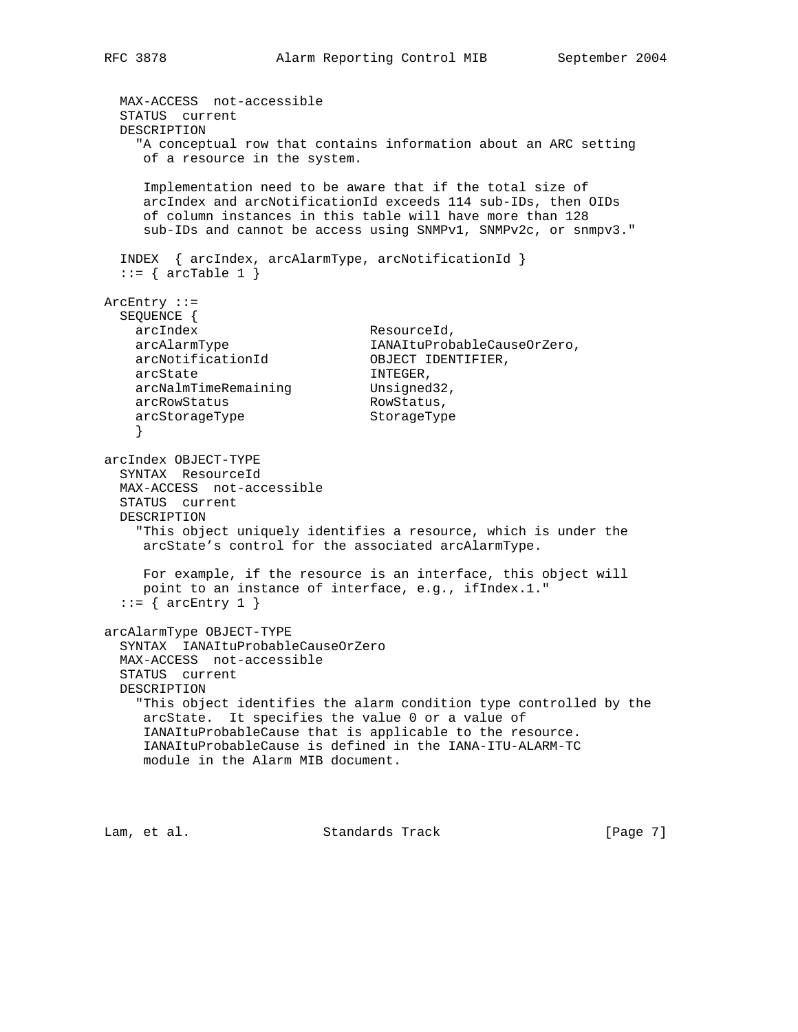```
 MAX-ACCESS not-accessible
  STATUS current
  DESCRIPTION
    "A conceptual row that contains information about an ARC setting
     of a resource in the system.
     Implementation need to be aware that if the total size of
     arcIndex and arcNotificationId exceeds 114 sub-IDs, then OIDs
     of column instances in this table will have more than 128
     sub-IDs and cannot be access using SNMPv1, SNMPv2c, or snmpv3."
  INDEX { arcIndex, arcAlarmType, arcNotificationId }
 ::= { arcTable 1 }
ArcEntry ::=
 SEQUENCE {
arcIndex ResourceId,
 arcAlarmType IANAItuProbableCauseOrZero,
 arcNotificationId OBJECT IDENTIFIER,
arcState INTEGER,
arcNalmTimeRemaining Unsigned32,
arcRowStatus RowStatus,
   arcStorageType StorageType
    }
arcIndex OBJECT-TYPE
  SYNTAX ResourceId
  MAX-ACCESS not-accessible
  STATUS current
  DESCRIPTION
    "This object uniquely identifies a resource, which is under the
     arcState's control for the associated arcAlarmType.
     For example, if the resource is an interface, this object will
     point to an instance of interface, e.g., ifIndex.1."
 ::= { arcEntry 1 }
arcAlarmType OBJECT-TYPE
  SYNTAX IANAItuProbableCauseOrZero
  MAX-ACCESS not-accessible
  STATUS current
  DESCRIPTION
    "This object identifies the alarm condition type controlled by the
     arcState. It specifies the value 0 or a value of
     IANAItuProbableCause that is applicable to the resource.
     IANAItuProbableCause is defined in the IANA-ITU-ALARM-TC
     module in the Alarm MIB document.
```
Lam, et al. Standards Track [Page 7]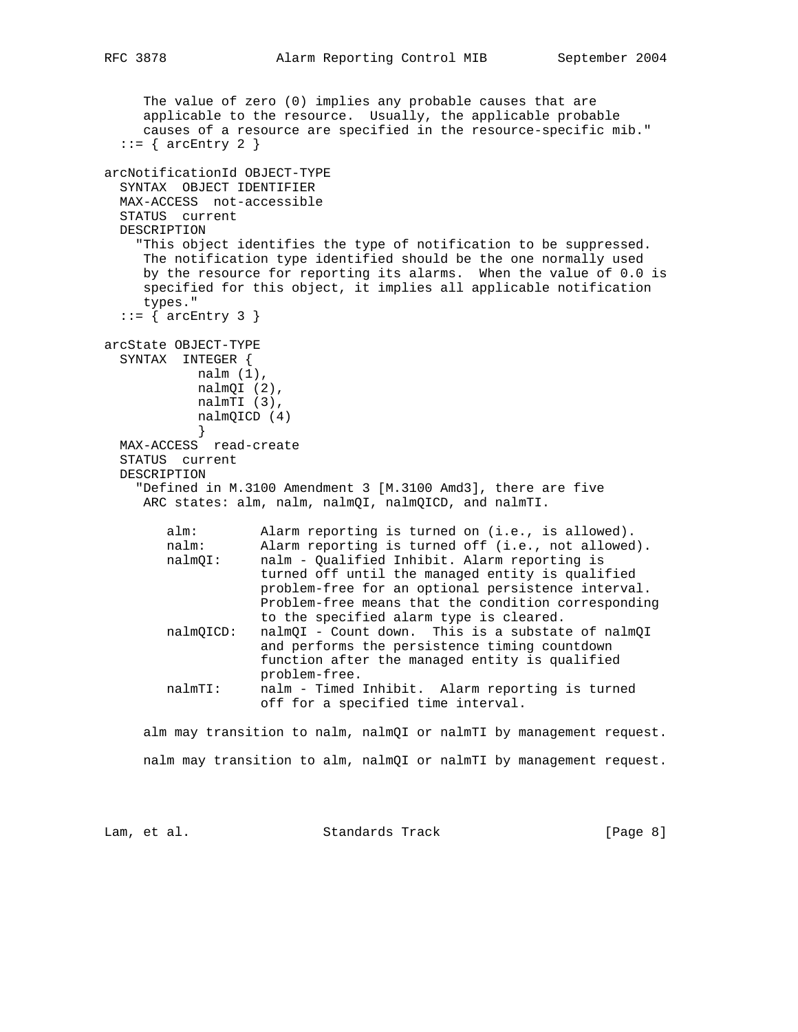```
 The value of zero (0) implies any probable causes that are
      applicable to the resource. Usually, the applicable probable
      causes of a resource are specified in the resource-specific mib."
  ::= { arcEntry 2 }
arcNotificationId OBJECT-TYPE
   SYNTAX OBJECT IDENTIFIER
  MAX-ACCESS not-accessible
  STATUS current
  DESCRIPTION
     "This object identifies the type of notification to be suppressed.
     The notification type identified should be the one normally used
     by the resource for reporting its alarms. When the value of 0.0 is
      specified for this object, it implies all applicable notification
      types."
  ::= { arcEntry 3 }
arcState OBJECT-TYPE
   SYNTAX INTEGER {
           nalm (1),
            nalmQI (2),
            nalmTI (3),
            nalmQICD (4)
 }
  MAX-ACCESS read-create
   STATUS current
  DESCRIPTION
     "Defined in M.3100 Amendment 3 [M.3100 Amd3], there are five
    ARC states: alm, nalm, nalmQI, nalmQICD, and nalmTI.
        alm: Alarm reporting is turned on (i.e., is allowed).
        nalm: Alarm reporting is turned off (i.e., not allowed).
        nalmQI: nalm - Qualified Inhibit. Alarm reporting is
                    turned off until the managed entity is qualified
                    problem-free for an optional persistence interval.
                    Problem-free means that the condition corresponding
                    to the specified alarm type is cleared.
        nalmQICD: nalmQI - Count down. This is a substate of nalmQI
                    and performs the persistence timing countdown
                    function after the managed entity is qualified
                    problem-free.
        nalmTI: nalm - Timed Inhibit. Alarm reporting is turned
                    off for a specified time interval.
      alm may transition to nalm, nalmQI or nalmTI by management request.
     nalm may transition to alm, nalmQI or nalmTI by management request.
```
Lam, et al. Standards Track [Page 8]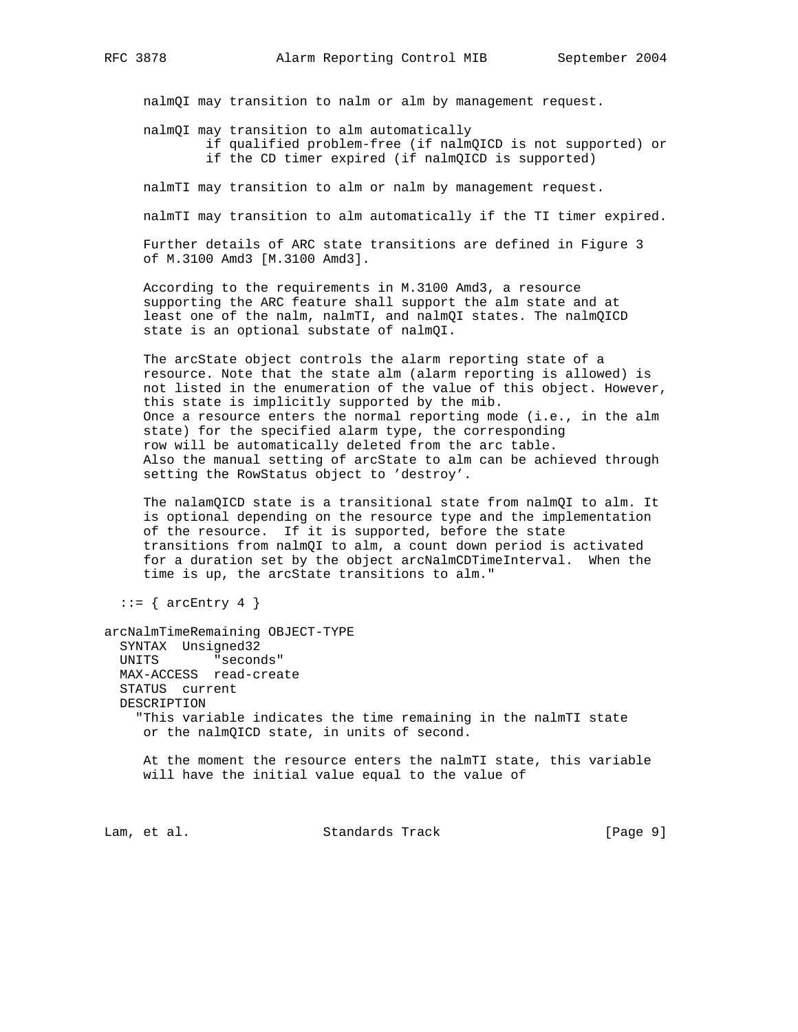nalmQI may transition to nalm or alm by management request.

nalmQI may transition to alm automatically

 if qualified problem-free (if nalmQICD is not supported) or if the CD timer expired (if nalmQICD is supported)

nalmTI may transition to alm or nalm by management request.

nalmTI may transition to alm automatically if the TI timer expired.

 Further details of ARC state transitions are defined in Figure 3 of M.3100 Amd3 [M.3100 Amd3].

 According to the requirements in M.3100 Amd3, a resource supporting the ARC feature shall support the alm state and at least one of the nalm, nalmTI, and nalmQI states. The nalmQICD state is an optional substate of nalmQI.

 The arcState object controls the alarm reporting state of a resource. Note that the state alm (alarm reporting is allowed) is not listed in the enumeration of the value of this object. However, this state is implicitly supported by the mib. Once a resource enters the normal reporting mode (i.e., in the alm state) for the specified alarm type, the corresponding row will be automatically deleted from the arc table. Also the manual setting of arcState to alm can be achieved through setting the RowStatus object to 'destroy'.

 The nalamQICD state is a transitional state from nalmQI to alm. It is optional depending on the resource type and the implementation of the resource. If it is supported, before the state transitions from nalmQI to alm, a count down period is activated for a duration set by the object arcNalmCDTimeInterval. When the time is up, the arcState transitions to alm."

 $::=$  { arcEntry 4 }

```
arcNalmTimeRemaining OBJECT-TYPE
   SYNTAX Unsigned32
   UNITS "seconds"
  MAX-ACCESS read-create
   STATUS current
  DESCRIPTION
     "This variable indicates the time remaining in the nalmTI state
     or the nalmQICD state, in units of second.
```
 At the moment the resource enters the nalmTI state, this variable will have the initial value equal to the value of

Lam, et al. Standards Track [Page 9]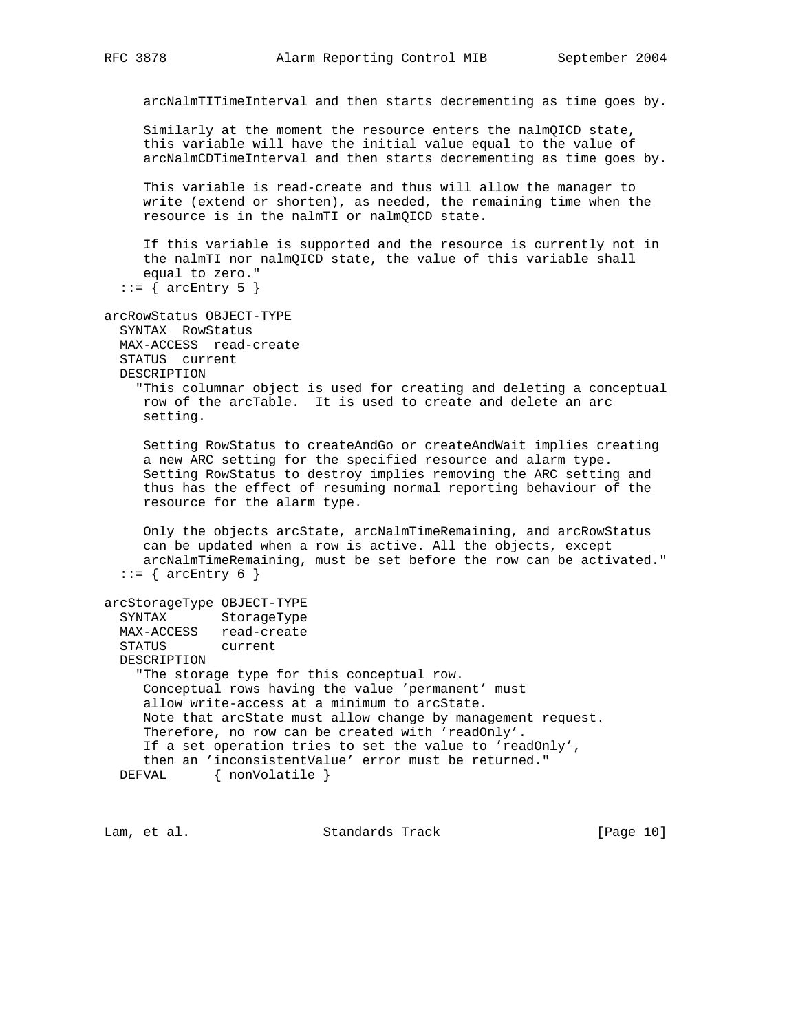arcNalmTITimeInterval and then starts decrementing as time goes by.

 Similarly at the moment the resource enters the nalmQICD state, this variable will have the initial value equal to the value of arcNalmCDTimeInterval and then starts decrementing as time goes by.

 This variable is read-create and thus will allow the manager to write (extend or shorten), as needed, the remaining time when the resource is in the nalmTI or nalmQICD state.

 If this variable is supported and the resource is currently not in the nalmTI nor nalmQICD state, the value of this variable shall equal to zero."

```
::= { arcEntry 5 }
```

```
arcRowStatus OBJECT-TYPE
   SYNTAX RowStatus
```
MAX-ACCESS read-create

```
 STATUS current
```
DESCRIPTION

 "This columnar object is used for creating and deleting a conceptual row of the arcTable. It is used to create and delete an arc setting.

 Setting RowStatus to createAndGo or createAndWait implies creating a new ARC setting for the specified resource and alarm type. Setting RowStatus to destroy implies removing the ARC setting and thus has the effect of resuming normal reporting behaviour of the resource for the alarm type.

 Only the objects arcState, arcNalmTimeRemaining, and arcRowStatus can be updated when a row is active. All the objects, except arcNalmTimeRemaining, must be set before the row can be activated."  $::=$  { arcEntry 6 }

```
arcStorageType OBJECT-TYPE
```
 SYNTAX StorageType MAX-ACCESS read-create STATUS current DESCRIPTION "The storage type for this conceptual row. Conceptual rows having the value 'permanent' must allow write-access at a minimum to arcState. Note that arcState must allow change by management request. Therefore, no row can be created with 'readOnly'. If a set operation tries to set the value to 'readOnly', then an 'inconsistentValue' error must be returned." DEFVAL { nonVolatile }

Lam, et al. Standards Track [Page 10]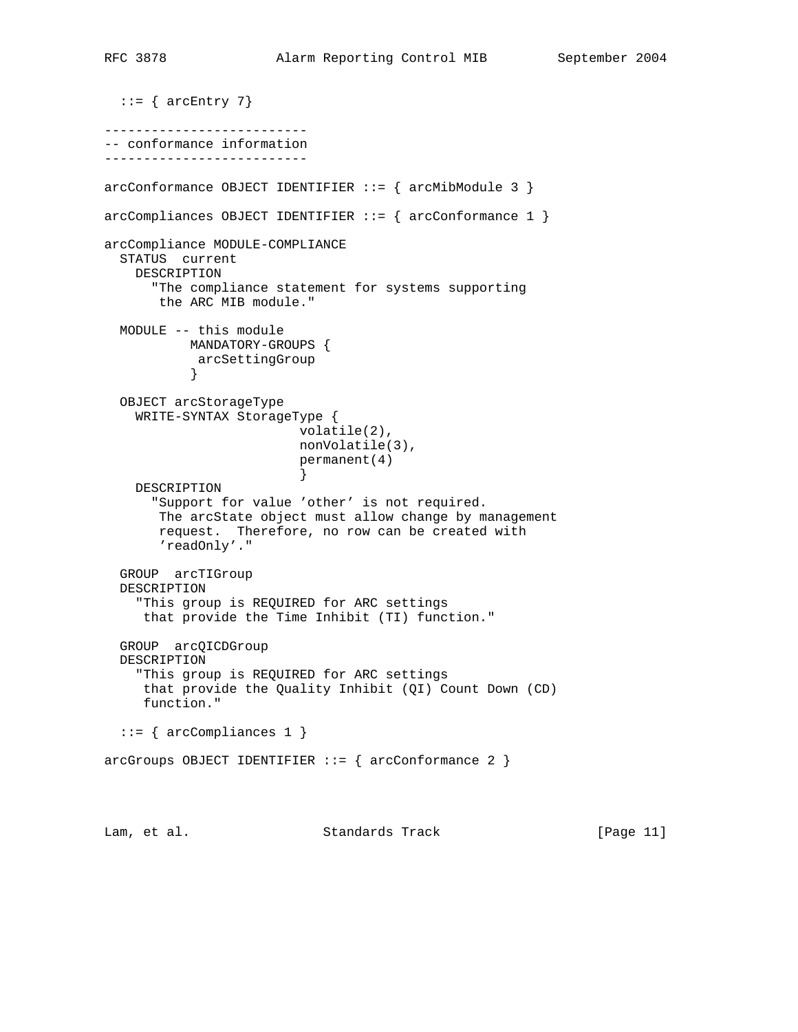```
::= { arcEntry 7}
--------------------------
-- conformance information
--------------------------
arcConformance OBJECT IDENTIFIER ::= { arcMibModule 3 }
\arccompliances OBJECT IDENTIFIER ::= { \arcconformance 1 }
arcCompliance MODULE-COMPLIANCE
  STATUS current
    DESCRIPTION
      "The compliance statement for systems supporting
       the ARC MIB module."
  MODULE -- this module
           MANDATORY-GROUPS {
            arcSettingGroup
 }
   OBJECT arcStorageType
    WRITE-SYNTAX StorageType {
                         volatile(2),
                         nonVolatile(3),
                         permanent(4)
 }
    DESCRIPTION
       "Support for value 'other' is not required.
       The arcState object must allow change by management
       request. Therefore, no row can be created with
       'readOnly'."
  GROUP arcTIGroup
   DESCRIPTION
     "This group is REQUIRED for ARC settings
     that provide the Time Inhibit (TI) function."
   GROUP arcQICDGroup
   DESCRIPTION
     "This group is REQUIRED for ARC settings
     that provide the Quality Inhibit (QI) Count Down (CD)
     function."
  ::= { arcCompliances 1 }
arcGroups OBJECT IDENTIFIER ::= { arcConformance 2 }
Lam, et al. Standards Track [Page 11]
```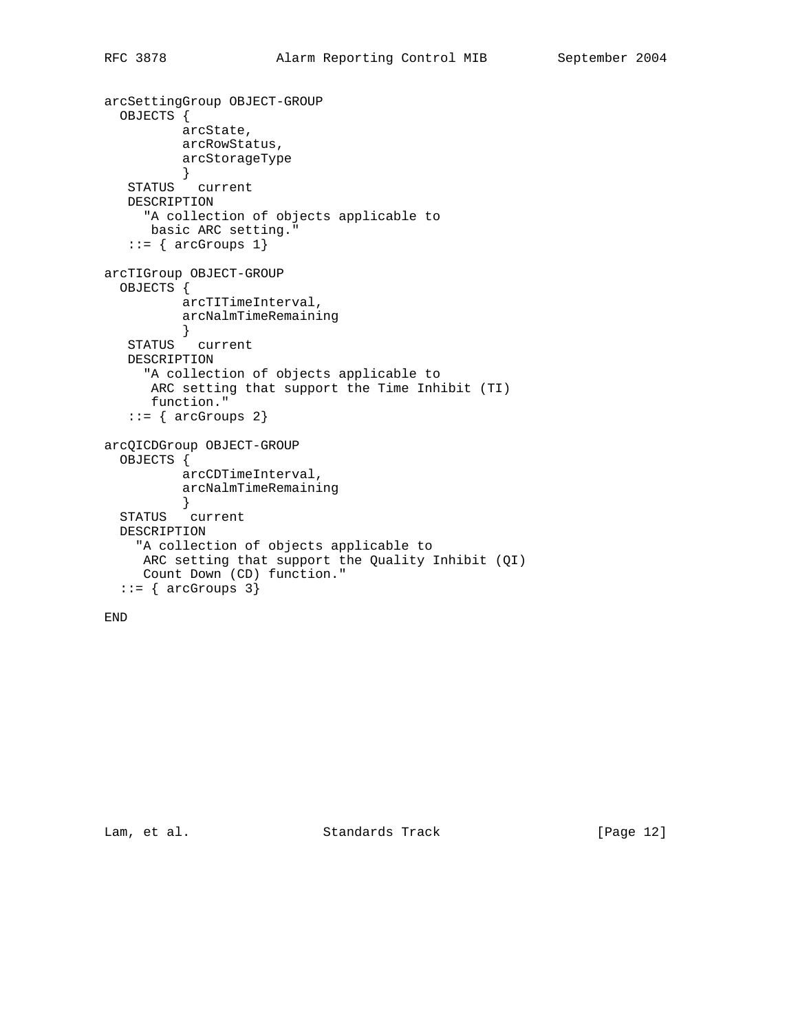```
arcSettingGroup OBJECT-GROUP
  OBJECTS {
          arcState,
          arcRowStatus,
         arcStorageType
 }
 STATUS current
   DESCRIPTION
     "A collection of objects applicable to
      basic ARC setting."
   ::= { arcGroups 1}
arcTIGroup OBJECT-GROUP
  OBJECTS {
          arcTITimeInterval,
          arcNalmTimeRemaining
 }
 STATUS current
   DESCRIPTION
     "A collection of objects applicable to
      ARC setting that support the Time Inhibit (TI)
      function."
   ::= { arcGroups 2}
arcQICDGroup OBJECT-GROUP
   OBJECTS {
          arcCDTimeInterval,
          arcNalmTimeRemaining
 }
 STATUS current
  DESCRIPTION
    "A collection of objects applicable to
     ARC setting that support the Quality Inhibit (QI)
     Count Down (CD) function."
  ::= { arcGroups 3}
```

```
END
```
Lam, et al. Standards Track [Page 12]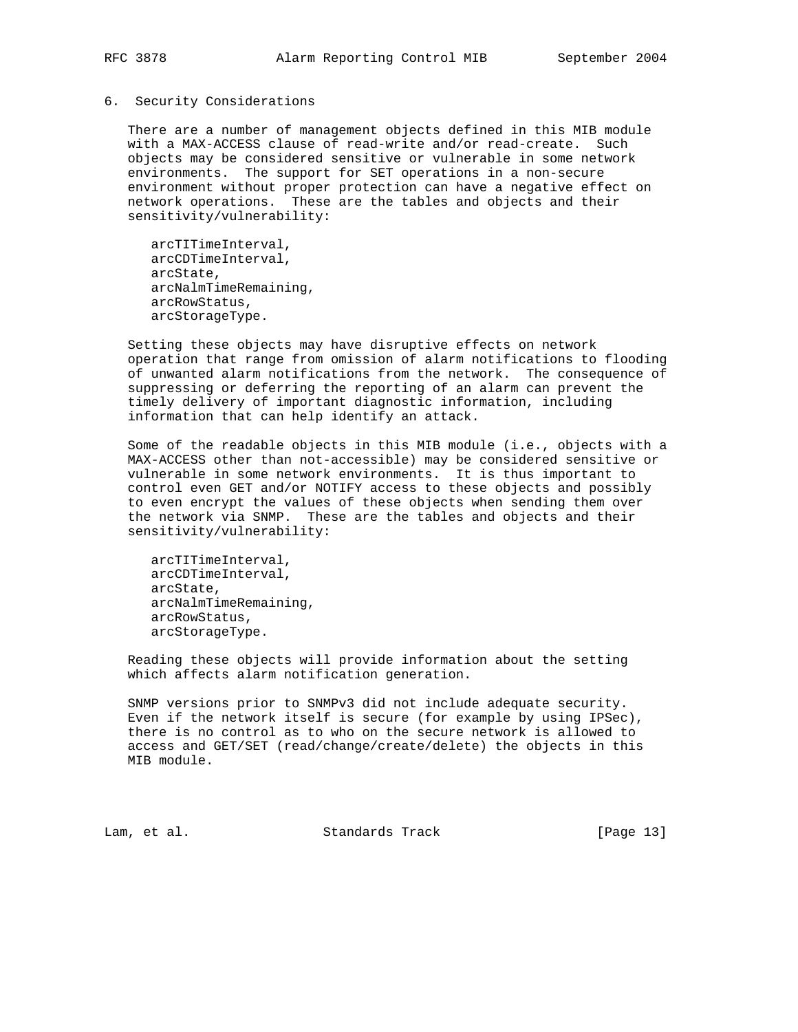#### 6. Security Considerations

 There are a number of management objects defined in this MIB module with a MAX-ACCESS clause of read-write and/or read-create. Such objects may be considered sensitive or vulnerable in some network environments. The support for SET operations in a non-secure environment without proper protection can have a negative effect on network operations. These are the tables and objects and their sensitivity/vulnerability:

 arcTITimeInterval, arcCDTimeInterval, arcState, arcNalmTimeRemaining, arcRowStatus, arcStorageType.

 Setting these objects may have disruptive effects on network operation that range from omission of alarm notifications to flooding of unwanted alarm notifications from the network. The consequence of suppressing or deferring the reporting of an alarm can prevent the timely delivery of important diagnostic information, including information that can help identify an attack.

 Some of the readable objects in this MIB module (i.e., objects with a MAX-ACCESS other than not-accessible) may be considered sensitive or vulnerable in some network environments. It is thus important to control even GET and/or NOTIFY access to these objects and possibly to even encrypt the values of these objects when sending them over the network via SNMP. These are the tables and objects and their sensitivity/vulnerability:

 arcTITimeInterval, arcCDTimeInterval, arcState, arcNalmTimeRemaining, arcRowStatus, arcStorageType.

 Reading these objects will provide information about the setting which affects alarm notification generation.

 SNMP versions prior to SNMPv3 did not include adequate security. Even if the network itself is secure (for example by using IPSec), there is no control as to who on the secure network is allowed to access and GET/SET (read/change/create/delete) the objects in this MIB module.

Lam, et al. Standards Track [Page 13]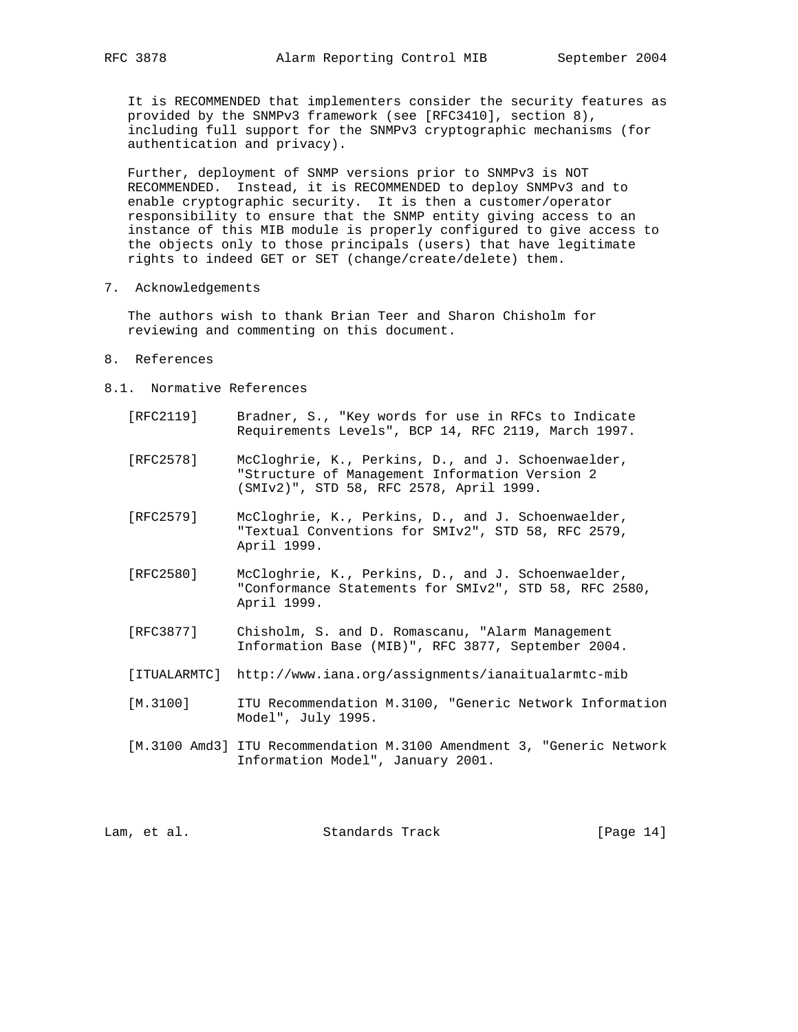It is RECOMMENDED that implementers consider the security features as provided by the SNMPv3 framework (see [RFC3410], section 8), including full support for the SNMPv3 cryptographic mechanisms (for authentication and privacy).

 Further, deployment of SNMP versions prior to SNMPv3 is NOT RECOMMENDED. Instead, it is RECOMMENDED to deploy SNMPv3 and to enable cryptographic security. It is then a customer/operator responsibility to ensure that the SNMP entity giving access to an instance of this MIB module is properly configured to give access to the objects only to those principals (users) that have legitimate rights to indeed GET or SET (change/create/delete) them.

7. Acknowledgements

 The authors wish to thank Brian Teer and Sharon Chisholm for reviewing and commenting on this document.

- 8. References
- 8.1. Normative References
	- [RFC2119] Bradner, S., "Key words for use in RFCs to Indicate Requirements Levels", BCP 14, RFC 2119, March 1997.
	- [RFC2578] McCloghrie, K., Perkins, D., and J. Schoenwaelder, "Structure of Management Information Version 2 (SMIv2)", STD 58, RFC 2578, April 1999.
	- [RFC2579] McCloghrie, K., Perkins, D., and J. Schoenwaelder, "Textual Conventions for SMIv2", STD 58, RFC 2579, April 1999.
	- [RFC2580] McCloghrie, K., Perkins, D., and J. Schoenwaelder, "Conformance Statements for SMIv2", STD 58, RFC 2580, April 1999.
	- [RFC3877] Chisholm, S. and D. Romascanu, "Alarm Management Information Base (MIB)", RFC 3877, September 2004.
	- [ITUALARMTC] http://www.iana.org/assignments/ianaitualarmtc-mib
	- [M.3100] ITU Recommendation M.3100, "Generic Network Information Model", July 1995.
	- [M.3100 Amd3] ITU Recommendation M.3100 Amendment 3, "Generic Network Information Model", January 2001.

|  | Lam, et al. | Standards Track | [Page $14$ ] |  |  |
|--|-------------|-----------------|--------------|--|--|
|--|-------------|-----------------|--------------|--|--|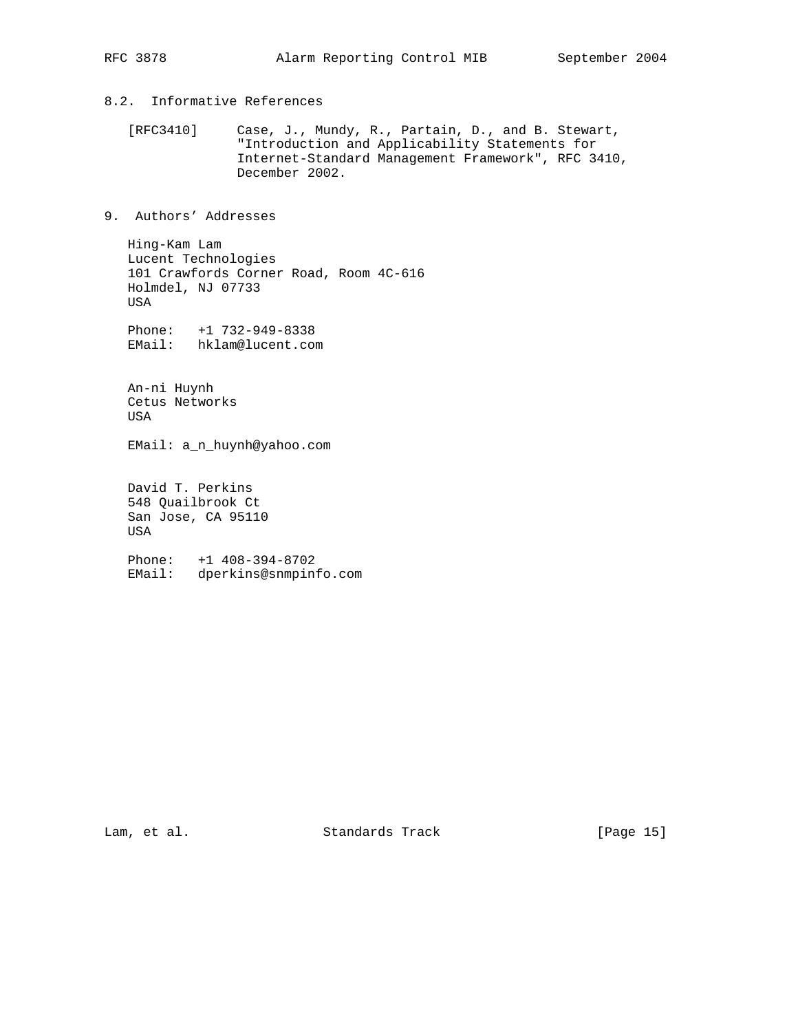# 8.2. Informative References

 [RFC3410] Case, J., Mundy, R., Partain, D., and B. Stewart, "Introduction and Applicability Statements for Internet-Standard Management Framework", RFC 3410, December 2002.

# 9. Authors' Addresses

 Hing-Kam Lam Lucent Technologies 101 Crawfords Corner Road, Room 4C-616 Holmdel, NJ 07733 USA

 Phone: +1 732-949-8338 EMail: hklam@lucent.com

 An-ni Huynh Cetus Networks USA

EMail: a\_n\_huynh@yahoo.com

 David T. Perkins 548 Quailbrook Ct San Jose, CA 95110 USA

 Phone: +1 408-394-8702 EMail: dperkins@snmpinfo.com

Lam, et al. Standards Track [Page 15]